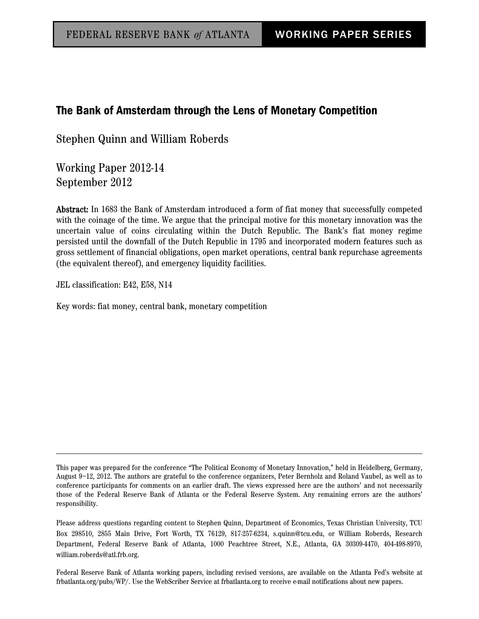# The Bank of Amsterdam through the Lens of Monetary Competition

Stephen Quinn and William Roberds

Working Paper 2012-14 September 2012

Abstract: In 1683 the Bank of Amsterdam introduced a form of fiat money that successfully competed with the coinage of the time. We argue that the principal motive for this monetary innovation was the uncertain value of coins circulating within the Dutch Republic. The Bank's fiat money regime persisted until the downfall of the Dutch Republic in 1795 and incorporated modern features such as gross settlement of financial obligations, open market operations, central bank repurchase agreements (the equivalent thereof), and emergency liquidity facilities.

JEL classification: E42, E58, N14

Key words: fiat money, central bank, monetary competition

Federal Reserve Bank of Atlanta working papers, including revised versions, are available on the Atlanta Fed's website at frbatlanta.org/pubs/WP/. Use the WebScriber Service at frbatlanta.org to receive e-mail notifications about new papers.

This paper was prepared for the conference "The Political Economy of Monetary Innovation," held in Heidelberg, Germany, August 9–12, 2012. The authors are grateful to the conference organizers, Peter Bernholz and Roland Vaubel, as well as to conference participants for comments on an earlier draft. The views expressed here are the authors' and not necessarily those of the Federal Reserve Bank of Atlanta or the Federal Reserve System. Any remaining errors are the authors' responsibility.

Please address questions regarding content to Stephen Quinn, Department of Economics, Texas Christian University, TCU Box 298510, 2855 Main Drive, Fort Worth, TX 76129, 817-257-6234, s.quinn@tcu.edu, or William Roberds, Research Department, Federal Reserve Bank of Atlanta, 1000 Peachtree Street, N.E., Atlanta, GA 30309-4470, 404-498-8970, william.roberds@atl.frb.org.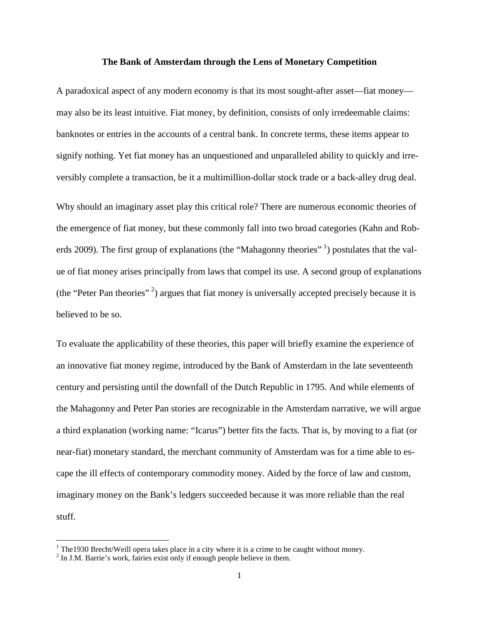#### **The Bank of Amsterdam through the Lens of Monetary Competition**

A paradoxical aspect of any modern economy is that its most sought-after asset—fiat money may also be its least intuitive. Fiat money, by definition, consists of only irredeemable claims: banknotes or entries in the accounts of a central bank. In concrete terms, these items appear to signify nothing. Yet fiat money has an unquestioned and unparalleled ability to quickly and irreversibly complete a transaction, be it a multimillion-dollar stock trade or a back-alley drug deal.

Why should an imaginary asset play this critical role? There are numerous economic theories of the emergence of fiat money, but these commonly fall into two broad categories (Kahn and Rob-erds 2009). The first group of explanations (the "Mahagonny theories" [1](#page-1-0)) postulates that the value of fiat money arises principally from laws that compel its use. A second group of explanations (the "Peter Pan theories"  $^2$  $^2$ ) argues that fiat money is universally accepted precisely because it is believed to be so.

To evaluate the applicability of these theories, this paper will briefly examine the experience of an innovative fiat money regime, introduced by the Bank of Amsterdam in the late seventeenth century and persisting until the downfall of the Dutch Republic in 1795. And while elements of the Mahagonny and Peter Pan stories are recognizable in the Amsterdam narrative, we will argue a third explanation (working name: "Icarus") better fits the facts. That is, by moving to a fiat (or near-fiat) monetary standard, the merchant community of Amsterdam was for a time able to escape the ill effects of contemporary commodity money. Aided by the force of law and custom, imaginary money on the Bank's ledgers succeeded because it was more reliable than the real stuff.

<span id="page-1-2"></span><span id="page-1-0"></span><sup>&</sup>lt;sup>1</sup> The1930 Brecht/Weill opera takes place in a city where it is a crime to be caught without money. <sup>2</sup> In J.M. Barrie's work, fairies exist only if enough people believe in them.

<span id="page-1-1"></span>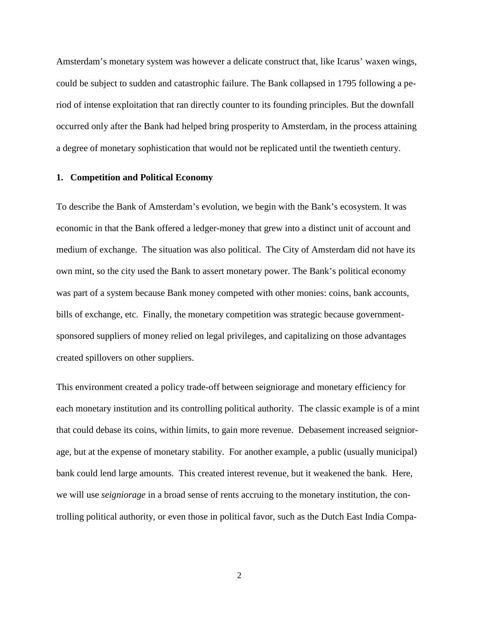Amsterdam's monetary system was however a delicate construct that, like Icarus' waxen wings, could be subject to sudden and catastrophic failure. The Bank collapsed in 1795 following a period of intense exploitation that ran directly counter to its founding principles. But the downfall occurred only after the Bank had helped bring prosperity to Amsterdam, in the process attaining a degree of monetary sophistication that would not be replicated until the twentieth century.

## **1. Competition and Political Economy**

To describe the Bank of Amsterdam's evolution, we begin with the Bank's ecosystem. It was economic in that the Bank offered a ledger-money that grew into a distinct unit of account and medium of exchange. The situation was also political. The City of Amsterdam did not have its own mint, so the city used the Bank to assert monetary power. The Bank's political economy was part of a system because Bank money competed with other monies: coins, bank accounts, bills of exchange, etc. Finally, the monetary competition was strategic because governmentsponsored suppliers of money relied on legal privileges, and capitalizing on those advantages created spillovers on other suppliers.

This environment created a policy trade-off between seigniorage and monetary efficiency for each monetary institution and its controlling political authority. The classic example is of a mint that could debase its coins, within limits, to gain more revenue. Debasement increased seigniorage, but at the expense of monetary stability. For another example, a public (usually municipal) bank could lend large amounts. This created interest revenue, but it weakened the bank. Here, we will use *seigniorage* in a broad sense of rents accruing to the monetary institution, the controlling political authority, or even those in political favor, such as the Dutch East India Compa-

2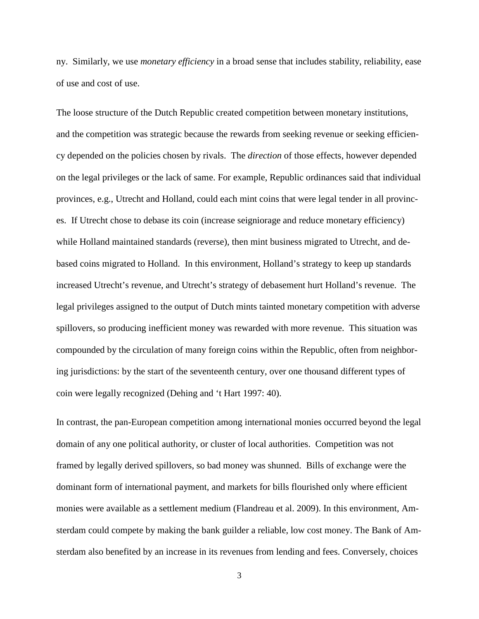ny. Similarly, we use *monetary efficiency* in a broad sense that includes stability, reliability, ease of use and cost of use.

The loose structure of the Dutch Republic created competition between monetary institutions, and the competition was strategic because the rewards from seeking revenue or seeking efficiency depended on the policies chosen by rivals. The *direction* of those effects, however depended on the legal privileges or the lack of same. For example, Republic ordinances said that individual provinces, e.g., Utrecht and Holland, could each mint coins that were legal tender in all provinces. If Utrecht chose to debase its coin (increase seigniorage and reduce monetary efficiency) while Holland maintained standards (reverse), then mint business migrated to Utrecht, and debased coins migrated to Holland. In this environment, Holland's strategy to keep up standards increased Utrecht's revenue, and Utrecht's strategy of debasement hurt Holland's revenue. The legal privileges assigned to the output of Dutch mints tainted monetary competition with adverse spillovers, so producing inefficient money was rewarded with more revenue. This situation was compounded by the circulation of many foreign coins within the Republic, often from neighboring jurisdictions: by the start of the seventeenth century, over one thousand different types of coin were legally recognized (Dehing and 't Hart 1997: 40).

In contrast, the pan-European competition among international monies occurred beyond the legal domain of any one political authority, or cluster of local authorities. Competition was not framed by legally derived spillovers, so bad money was shunned. Bills of exchange were the dominant form of international payment, and markets for bills flourished only where efficient monies were available as a settlement medium (Flandreau et al. 2009). In this environment, Amsterdam could compete by making the bank guilder a reliable, low cost money. The Bank of Amsterdam also benefited by an increase in its revenues from lending and fees. Conversely, choices

3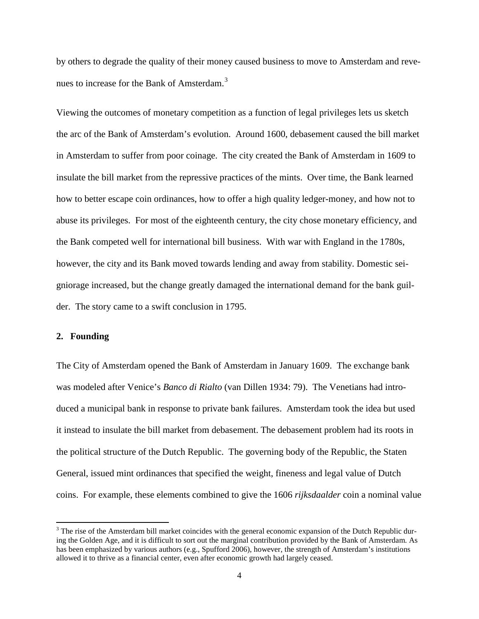by others to degrade the quality of their money caused business to move to Amsterdam and reve-nues to increase for the Bank of Amsterdam.<sup>[3](#page-1-2)</sup>

Viewing the outcomes of monetary competition as a function of legal privileges lets us sketch the arc of the Bank of Amsterdam's evolution. Around 1600, debasement caused the bill market in Amsterdam to suffer from poor coinage. The city created the Bank of Amsterdam in 1609 to insulate the bill market from the repressive practices of the mints. Over time, the Bank learned how to better escape coin ordinances, how to offer a high quality ledger-money, and how not to abuse its privileges. For most of the eighteenth century, the city chose monetary efficiency, and the Bank competed well for international bill business. With war with England in the 1780s, however, the city and its Bank moved towards lending and away from stability. Domestic seigniorage increased, but the change greatly damaged the international demand for the bank guilder. The story came to a swift conclusion in 1795.

## **2. Founding**

The City of Amsterdam opened the Bank of Amsterdam in January 1609. The exchange bank was modeled after Venice's *Banco di Rialto* (van Dillen 1934: 79). The Venetians had introduced a municipal bank in response to private bank failures. Amsterdam took the idea but used it instead to insulate the bill market from debasement. The debasement problem had its roots in the political structure of the Dutch Republic. The governing body of the Republic, the Staten General, issued mint ordinances that specified the weight, fineness and legal value of Dutch coins. For example, these elements combined to give the 1606 *rijksdaalder* coin a nominal value

<span id="page-4-0"></span><sup>&</sup>lt;sup>3</sup> The rise of the Amsterdam bill market coincides with the general economic expansion of the Dutch Republic during the Golden Age, and it is difficult to sort out the marginal contribution provided by the Bank of Amsterdam. As has been emphasized by various authors (e.g., Spufford 2006), however, the strength of Amsterdam's institutions allowed it to thrive as a financial center, even after economic growth had largely ceased.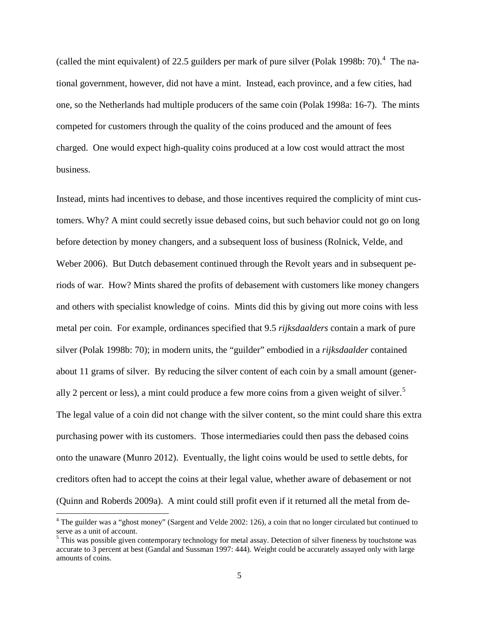(called the mint equivalent) of 22.5 guilders per mark of pure silver (Polak 1998b: 70). $^4$  $^4$  The national government, however, did not have a mint. Instead, each province, and a few cities, had one, so the Netherlands had multiple producers of the same coin (Polak 1998a: 16-7). The mints competed for customers through the quality of the coins produced and the amount of fees charged. One would expect high-quality coins produced at a low cost would attract the most business.

Instead, mints had incentives to debase, and those incentives required the complicity of mint customers. Why? A mint could secretly issue debased coins, but such behavior could not go on long before detection by money changers, and a subsequent loss of business (Rolnick, Velde, and Weber 2006). But Dutch debasement continued through the Revolt years and in subsequent periods of war. How? Mints shared the profits of debasement with customers like money changers and others with specialist knowledge of coins. Mints did this by giving out more coins with less metal per coin. For example, ordinances specified that 9.5 *rijksdaalders* contain a mark of pure silver (Polak 1998b: 70); in modern units, the "guilder" embodied in a *rijksdaalder* contained about 11 grams of silver. By reducing the silver content of each coin by a small amount (gener-ally 2 percent or less), a mint could produce a few more coins from a given weight of silver.<sup>[5](#page-5-0)</sup> The legal value of a coin did not change with the silver content, so the mint could share this extra purchasing power with its customers. Those intermediaries could then pass the debased coins onto the unaware (Munro 2012). Eventually, the light coins would be used to settle debts, for creditors often had to accept the coins at their legal value, whether aware of debasement or not (Quinn and Roberds 2009a). A mint could still profit even if it returned all the metal from de-

<span id="page-5-1"></span> $4$  The guilder was a "ghost money" (Sargent and Velde 2002: 126), a coin that no longer circulated but continued to serve as a unit of account.

<span id="page-5-0"></span> $5$  This was possible given contemporary technology for metal assay. Detection of silver fineness by touchstone was accurate to 3 percent at best (Gandal and Sussman 1997: 444). Weight could be accurately assayed only with large amounts of coins.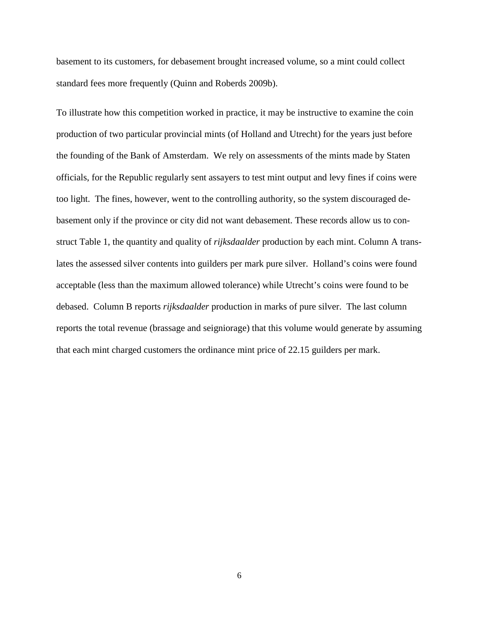basement to its customers, for debasement brought increased volume, so a mint could collect standard fees more frequently (Quinn and Roberds 2009b).

To illustrate how this competition worked in practice, it may be instructive to examine the coin production of two particular provincial mints (of Holland and Utrecht) for the years just before the founding of the Bank of Amsterdam. We rely on assessments of the mints made by Staten officials, for the Republic regularly sent assayers to test mint output and levy fines if coins were too light. The fines, however, went to the controlling authority, so the system discouraged debasement only if the province or city did not want debasement. These records allow us to construct Table 1, the quantity and quality of *rijksdaalder* production by each mint. Column A translates the assessed silver contents into guilders per mark pure silver. Holland's coins were found acceptable (less than the maximum allowed tolerance) while Utrecht's coins were found to be debased. Column B reports *rijksdaalder* production in marks of pure silver. The last column reports the total revenue (brassage and seigniorage) that this volume would generate by assuming that each mint charged customers the ordinance mint price of 22.15 guilders per mark.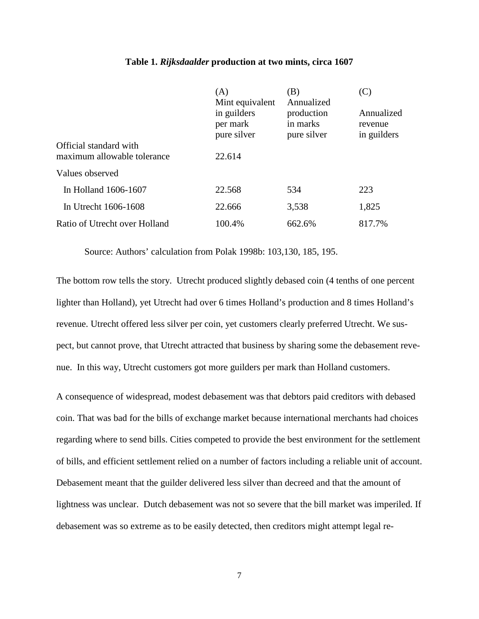## **Table 1.** *Rijksdaalder* **production at two mints, circa 1607**

|                                                       | (A)<br>Mint equivalent<br>in guilders<br>per mark<br>pure silver | (B)<br>Annualized<br>production<br>in marks<br>pure silver | (C)<br>Annualized<br>revenue<br>in guilders |
|-------------------------------------------------------|------------------------------------------------------------------|------------------------------------------------------------|---------------------------------------------|
|                                                       |                                                                  |                                                            |                                             |
| Official standard with<br>maximum allowable tolerance | 22.614                                                           |                                                            |                                             |
| Values observed                                       |                                                                  |                                                            |                                             |
| In Holland 1606-1607                                  | 22.568                                                           | 534                                                        | 223                                         |
| In Utrecht 1606-1608                                  | 22.666                                                           | 3,538                                                      | 1,825                                       |
| Ratio of Utrecht over Holland                         | 100.4%                                                           | 662.6%                                                     | 817.7%                                      |

Source: Authors' calculation from Polak 1998b: 103,130, 185, 195.

The bottom row tells the story. Utrecht produced slightly debased coin (4 tenths of one percent lighter than Holland), yet Utrecht had over 6 times Holland's production and 8 times Holland's revenue. Utrecht offered less silver per coin, yet customers clearly preferred Utrecht. We suspect, but cannot prove, that Utrecht attracted that business by sharing some the debasement revenue. In this way, Utrecht customers got more guilders per mark than Holland customers.

A consequence of widespread, modest debasement was that debtors paid creditors with debased coin. That was bad for the bills of exchange market because international merchants had choices regarding where to send bills. Cities competed to provide the best environment for the settlement of bills, and efficient settlement relied on a number of factors including a reliable unit of account. Debasement meant that the guilder delivered less silver than decreed and that the amount of lightness was unclear. Dutch debasement was not so severe that the bill market was imperiled. If debasement was so extreme as to be easily detected, then creditors might attempt legal re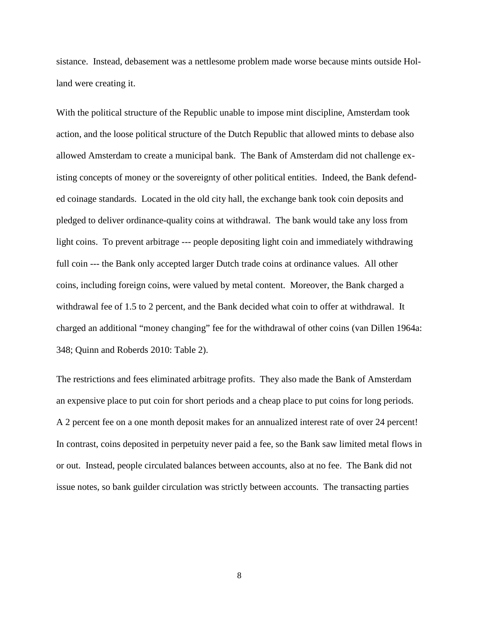sistance. Instead, debasement was a nettlesome problem made worse because mints outside Holland were creating it.

With the political structure of the Republic unable to impose mint discipline, Amsterdam took action, and the loose political structure of the Dutch Republic that allowed mints to debase also allowed Amsterdam to create a municipal bank. The Bank of Amsterdam did not challenge existing concepts of money or the sovereignty of other political entities. Indeed, the Bank defended coinage standards. Located in the old city hall, the exchange bank took coin deposits and pledged to deliver ordinance-quality coins at withdrawal. The bank would take any loss from light coins. To prevent arbitrage --- people depositing light coin and immediately withdrawing full coin --- the Bank only accepted larger Dutch trade coins at ordinance values. All other coins, including foreign coins, were valued by metal content. Moreover, the Bank charged a withdrawal fee of 1.5 to 2 percent, and the Bank decided what coin to offer at withdrawal. It charged an additional "money changing" fee for the withdrawal of other coins (van Dillen 1964a: 348; Quinn and Roberds 2010: Table 2).

The restrictions and fees eliminated arbitrage profits. They also made the Bank of Amsterdam an expensive place to put coin for short periods and a cheap place to put coins for long periods. A 2 percent fee on a one month deposit makes for an annualized interest rate of over 24 percent! In contrast, coins deposited in perpetuity never paid a fee, so the Bank saw limited metal flows in or out. Instead, people circulated balances between accounts, also at no fee. The Bank did not issue notes, so bank guilder circulation was strictly between accounts. The transacting parties

8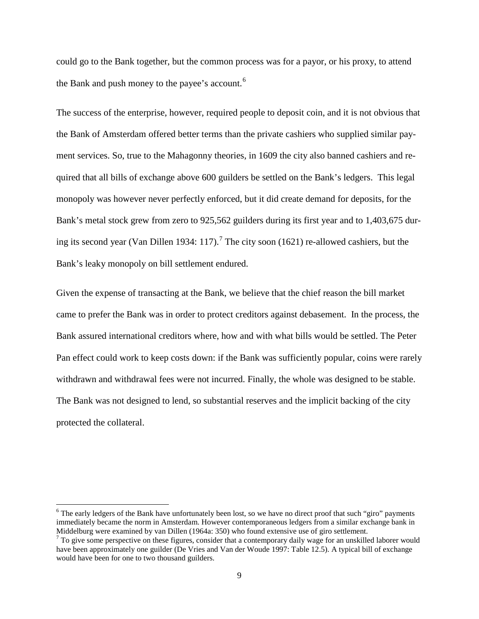could go to the Bank together, but the common process was for a payor, or his proxy, to attend the Bank and push money to the payee's account.<sup>[6](#page-5-1)</sup>

The success of the enterprise, however, required people to deposit coin, and it is not obvious that the Bank of Amsterdam offered better terms than the private cashiers who supplied similar payment services. So, true to the Mahagonny theories, in 1609 the city also banned cashiers and required that all bills of exchange above 600 guilders be settled on the Bank's ledgers. This legal monopoly was however never perfectly enforced, but it did create demand for deposits, for the Bank's metal stock grew from zero to 925,562 guilders during its first year and to 1,403,675 dur-ing its second year (Van Dillen 1934: 11[7](#page-9-0)).<sup>7</sup> The city soon (1621) re-allowed cashiers, but the Bank's leaky monopoly on bill settlement endured.

Given the expense of transacting at the Bank, we believe that the chief reason the bill market came to prefer the Bank was in order to protect creditors against debasement. In the process, the Bank assured international creditors where, how and with what bills would be settled. The Peter Pan effect could work to keep costs down: if the Bank was sufficiently popular, coins were rarely withdrawn and withdrawal fees were not incurred. Finally, the whole was designed to be stable. The Bank was not designed to lend, so substantial reserves and the implicit backing of the city protected the collateral.

<sup>&</sup>lt;sup>6</sup> The early ledgers of the Bank have unfortunately been lost, so we have no direct proof that such "giro" payments immediately became the norm in Amsterdam. However contemporaneous ledgers from a similar exchange bank in Middelburg were examined by van Dillen (1964a: 350) who found extensive use of giro settlement.

<span id="page-9-1"></span><span id="page-9-0"></span> $\frac{1}{10}$  To give some perspective on these figures, consider that a contemporary daily wage for an unskilled laborer would have been approximately one guilder (De Vries and Van der Woude 1997: Table 12.5). A typical bill of exchange would have been for one to two thousand guilders.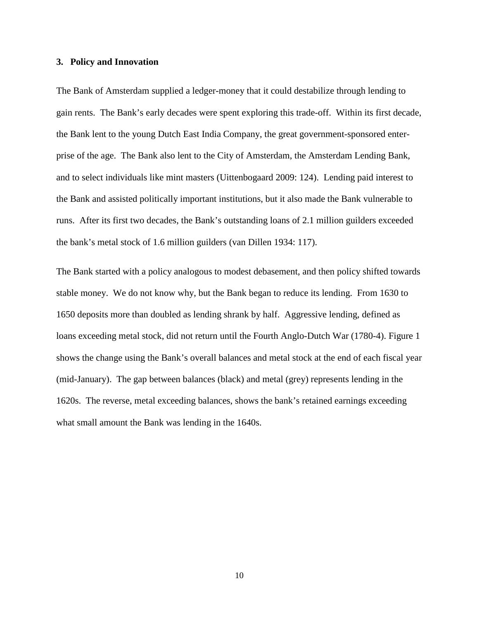## **3. Policy and Innovation**

The Bank of Amsterdam supplied a ledger-money that it could destabilize through lending to gain rents. The Bank's early decades were spent exploring this trade-off. Within its first decade, the Bank lent to the young Dutch East India Company, the great government-sponsored enterprise of the age. The Bank also lent to the City of Amsterdam, the Amsterdam Lending Bank, and to select individuals like mint masters (Uittenbogaard 2009: 124). Lending paid interest to the Bank and assisted politically important institutions, but it also made the Bank vulnerable to runs. After its first two decades, the Bank's outstanding loans of 2.1 million guilders exceeded the bank's metal stock of 1.6 million guilders (van Dillen 1934: 117).

The Bank started with a policy analogous to modest debasement, and then policy shifted towards stable money. We do not know why, but the Bank began to reduce its lending. From 1630 to 1650 deposits more than doubled as lending shrank by half. Aggressive lending, defined as loans exceeding metal stock, did not return until the Fourth Anglo-Dutch War (1780-4). Figure 1 shows the change using the Bank's overall balances and metal stock at the end of each fiscal year (mid-January). The gap between balances (black) and metal (grey) represents lending in the 1620s. The reverse, metal exceeding balances, shows the bank's retained earnings exceeding what small amount the Bank was lending in the 1640s.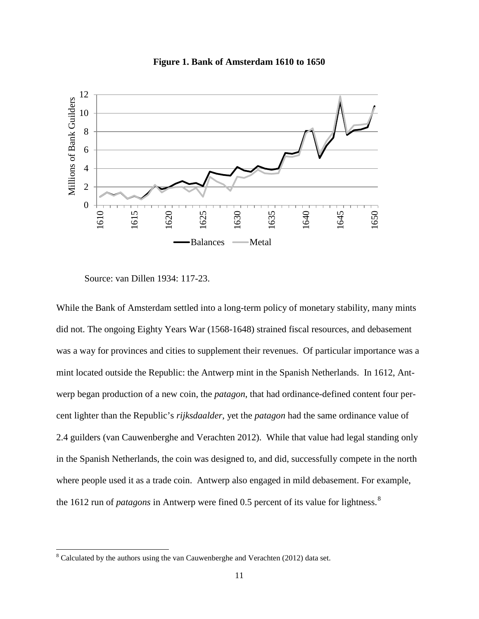

**Figure 1. Bank of Amsterdam 1610 to 1650**

Source: van Dillen 1934: 117-23.

While the Bank of Amsterdam settled into a long-term policy of monetary stability, many mints did not. The ongoing Eighty Years War (1568-1648) strained fiscal resources, and debasement was a way for provinces and cities to supplement their revenues. Of particular importance was a mint located outside the Republic: the Antwerp mint in the Spanish Netherlands. In 1612, Antwerp began production of a new coin, the *patagon*, that had ordinance-defined content four percent lighter than the Republic's *rijksdaalder*, yet the *patagon* had the same ordinance value of 2.4 guilders (van Cauwenberghe and Verachten 2012). While that value had legal standing only in the Spanish Netherlands, the coin was designed to, and did, successfully compete in the north where people used it as a trade coin. Antwerp also engaged in mild debasement. For example, the 1612 run of *patagons* in Antwerp were fined 0.5 percent of its value for lightness.<sup>[8](#page-9-1)</sup>

<span id="page-11-0"></span><sup>&</sup>lt;sup>8</sup> Calculated by the authors using the van Cauwenberghe and Verachten (2012) data set.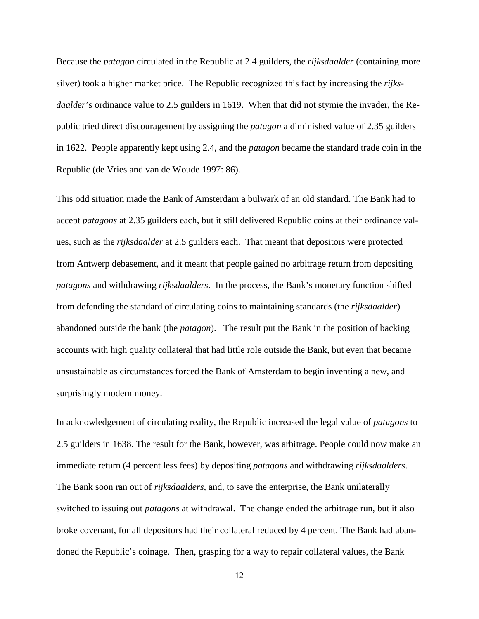Because the *patagon* circulated in the Republic at 2.4 guilders, the *rijksdaalder* (containing more silver) took a higher market price. The Republic recognized this fact by increasing the *rijksdaalder*'s ordinance value to 2.5 guilders in 1619. When that did not stymie the invader, the Republic tried direct discouragement by assigning the *patagon* a diminished value of 2.35 guilders in 1622. People apparently kept using 2.4, and the *patagon* became the standard trade coin in the Republic (de Vries and van de Woude 1997: 86).

This odd situation made the Bank of Amsterdam a bulwark of an old standard. The Bank had to accept *patagons* at 2.35 guilders each, but it still delivered Republic coins at their ordinance values, such as the *rijksdaalder* at 2.5 guilders each. That meant that depositors were protected from Antwerp debasement, and it meant that people gained no arbitrage return from depositing *patagons* and withdrawing *rijksdaalders*. In the process, the Bank's monetary function shifted from defending the standard of circulating coins to maintaining standards (the *rijksdaalder*) abandoned outside the bank (the *patagon*). The result put the Bank in the position of backing accounts with high quality collateral that had little role outside the Bank, but even that became unsustainable as circumstances forced the Bank of Amsterdam to begin inventing a new, and surprisingly modern money.

In acknowledgement of circulating reality, the Republic increased the legal value of *patagons* to 2.5 guilders in 1638. The result for the Bank, however, was arbitrage. People could now make an immediate return (4 percent less fees) by depositing *patagons* and withdrawing *rijksdaalders*. The Bank soon ran out of *rijksdaalders*, and, to save the enterprise, the Bank unilaterally switched to issuing out *patagons* at withdrawal. The change ended the arbitrage run, but it also broke covenant, for all depositors had their collateral reduced by 4 percent. The Bank had abandoned the Republic's coinage. Then, grasping for a way to repair collateral values, the Bank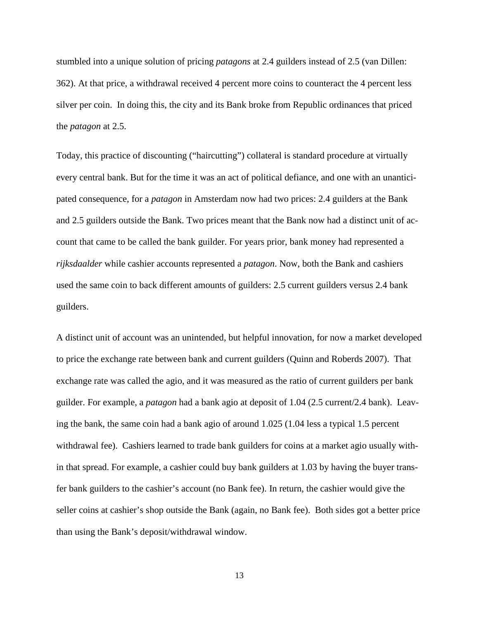stumbled into a unique solution of pricing *patagons* at 2.4 guilders instead of 2.5 (van Dillen: 362). At that price, a withdrawal received 4 percent more coins to counteract the 4 percent less silver per coin. In doing this, the city and its Bank broke from Republic ordinances that priced the *patagon* at 2.5.

Today, this practice of discounting ("haircutting") collateral is standard procedure at virtually every central bank. But for the time it was an act of political defiance, and one with an unanticipated consequence, for a *patagon* in Amsterdam now had two prices: 2.4 guilders at the Bank and 2.5 guilders outside the Bank. Two prices meant that the Bank now had a distinct unit of account that came to be called the bank guilder. For years prior, bank money had represented a *rijksdaalder* while cashier accounts represented a *patagon*. Now, both the Bank and cashiers used the same coin to back different amounts of guilders: 2.5 current guilders versus 2.4 bank guilders.

A distinct unit of account was an unintended, but helpful innovation, for now a market developed to price the exchange rate between bank and current guilders (Quinn and Roberds 2007). That exchange rate was called the agio, and it was measured as the ratio of current guilders per bank guilder. For example, a *patagon* had a bank agio at deposit of 1.04 (2.5 current/2.4 bank). Leaving the bank, the same coin had a bank agio of around 1.025 (1.04 less a typical 1.5 percent withdrawal fee). Cashiers learned to trade bank guilders for coins at a market agio usually within that spread. For example, a cashier could buy bank guilders at 1.03 by having the buyer transfer bank guilders to the cashier's account (no Bank fee). In return, the cashier would give the seller coins at cashier's shop outside the Bank (again, no Bank fee). Both sides got a better price than using the Bank's deposit/withdrawal window.

13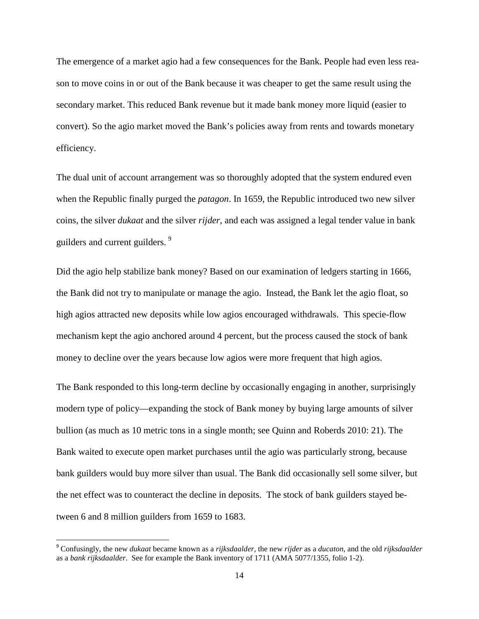The emergence of a market agio had a few consequences for the Bank. People had even less reason to move coins in or out of the Bank because it was cheaper to get the same result using the secondary market. This reduced Bank revenue but it made bank money more liquid (easier to convert). So the agio market moved the Bank's policies away from rents and towards monetary efficiency.

The dual unit of account arrangement was so thoroughly adopted that the system endured even when the Republic finally purged the *patagon*. In 1659, the Republic introduced two new silver coins, the silver *dukaat* and the silver *rijder*, and each was assigned a legal tender value in bank guilders and current guilders.<sup>[9](#page-11-0)</sup>

Did the agio help stabilize bank money? Based on our examination of ledgers starting in 1666, the Bank did not try to manipulate or manage the agio. Instead, the Bank let the agio float, so high agios attracted new deposits while low agios encouraged withdrawals. This specie-flow mechanism kept the agio anchored around 4 percent, but the process caused the stock of bank money to decline over the years because low agios were more frequent that high agios.

The Bank responded to this long-term decline by occasionally engaging in another, surprisingly modern type of policy—expanding the stock of Bank money by buying large amounts of silver bullion (as much as 10 metric tons in a single month; see Quinn and Roberds 2010: 21). The Bank waited to execute open market purchases until the agio was particularly strong, because bank guilders would buy more silver than usual. The Bank did occasionally sell some silver, but the net effect was to counteract the decline in deposits. The stock of bank guilders stayed between 6 and 8 million guilders from 1659 to 1683.

<span id="page-14-0"></span> <sup>9</sup> Confusingly, the new *dukaat* became known as a *rijksdaalder*, the new *rijder* as a *ducaton*, and the old *rijksdaalder*  as a *bank rijksdaalder*. See for example the Bank inventory of 1711 (AMA 5077/1355, folio 1-2).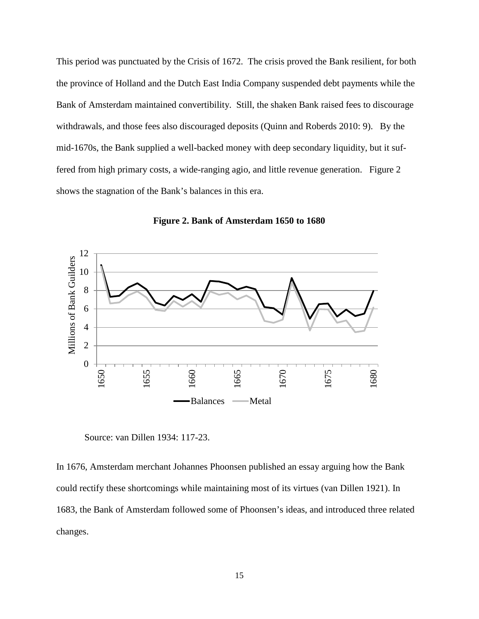This period was punctuated by the Crisis of 1672. The crisis proved the Bank resilient, for both the province of Holland and the Dutch East India Company suspended debt payments while the Bank of Amsterdam maintained convertibility. Still, the shaken Bank raised fees to discourage withdrawals, and those fees also discouraged deposits (Quinn and Roberds 2010: 9). By the mid-1670s, the Bank supplied a well-backed money with deep secondary liquidity, but it suffered from high primary costs, a wide-ranging agio, and little revenue generation. Figure 2 shows the stagnation of the Bank's balances in this era.



**Figure 2. Bank of Amsterdam 1650 to 1680**

Source: van Dillen 1934: 117-23.

In 1676, Amsterdam merchant Johannes Phoonsen published an essay arguing how the Bank could rectify these shortcomings while maintaining most of its virtues (van Dillen 1921). In 1683, the Bank of Amsterdam followed some of Phoonsen's ideas, and introduced three related changes.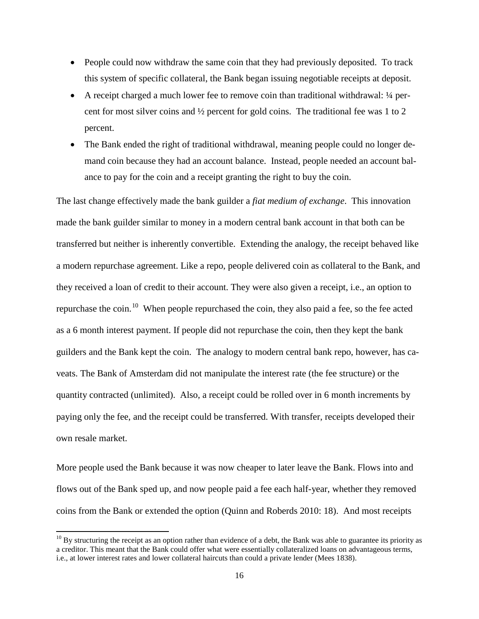- People could now withdraw the same coin that they had previously deposited. To track this system of specific collateral, the Bank began issuing negotiable receipts at deposit.
- A receipt charged a much lower fee to remove coin than traditional withdrawal: ¼ percent for most silver coins and ½ percent for gold coins. The traditional fee was 1 to 2 percent.
- The Bank ended the right of traditional withdrawal, meaning people could no longer demand coin because they had an account balance. Instead, people needed an account balance to pay for the coin and a receipt granting the right to buy the coin.

The last change effectively made the bank guilder a *fiat medium of exchange*. This innovation made the bank guilder similar to money in a modern central bank account in that both can be transferred but neither is inherently convertible. Extending the analogy, the receipt behaved like a modern repurchase agreement. Like a repo, people delivered coin as collateral to the Bank, and they received a loan of credit to their account. They were also given a receipt, i.e., an option to repurchase the coin.<sup>[10](#page-14-0)</sup> When people repurchased the coin, they also paid a fee, so the fee acted as a 6 month interest payment. If people did not repurchase the coin, then they kept the bank guilders and the Bank kept the coin. The analogy to modern central bank repo, however, has caveats. The Bank of Amsterdam did not manipulate the interest rate (the fee structure) or the quantity contracted (unlimited). Also, a receipt could be rolled over in 6 month increments by paying only the fee, and the receipt could be transferred. With transfer, receipts developed their own resale market.

More people used the Bank because it was now cheaper to later leave the Bank. Flows into and flows out of the Bank sped up, and now people paid a fee each half-year, whether they removed coins from the Bank or extended the option (Quinn and Roberds 2010: 18). And most receipts

<span id="page-16-0"></span> $^{10}$  By structuring the receipt as an option rather than evidence of a debt, the Bank was able to guarantee its priority as a creditor. This meant that the Bank could offer what were essentially collateralized loans on advantageous terms, i.e., at lower interest rates and lower collateral haircuts than could a private lender (Mees 1838).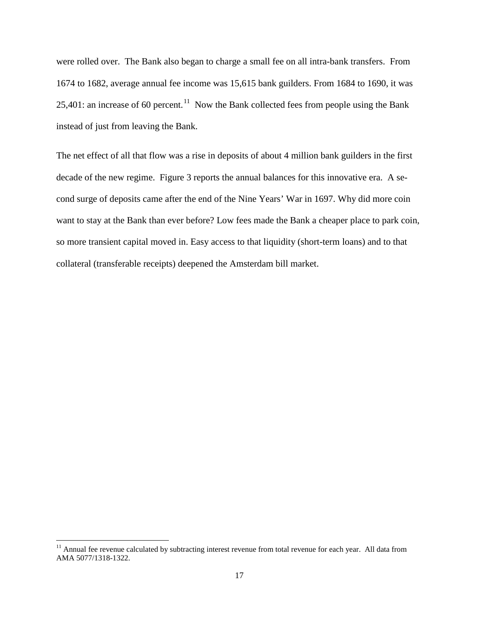were rolled over. The Bank also began to charge a small fee on all intra-bank transfers. From 1674 to 1682, average annual fee income was 15,615 bank guilders. From 1684 to 1690, it was 25,401: an increase of 60 percent.<sup>[11](#page-16-0)</sup> Now the Bank collected fees from people using the Bank instead of just from leaving the Bank.

The net effect of all that flow was a rise in deposits of about 4 million bank guilders in the first decade of the new regime. Figure 3 reports the annual balances for this innovative era. A second surge of deposits came after the end of the Nine Years' War in 1697. Why did more coin want to stay at the Bank than ever before? Low fees made the Bank a cheaper place to park coin, so more transient capital moved in. Easy access to that liquidity (short-term loans) and to that collateral (transferable receipts) deepened the Amsterdam bill market.

<span id="page-17-0"></span> $11$  Annual fee revenue calculated by subtracting interest revenue from total revenue for each year. All data from AMA 5077/1318-1322.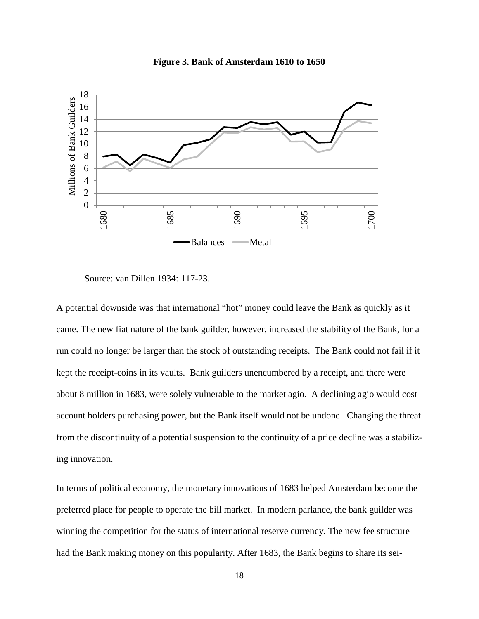

**Figure 3. Bank of Amsterdam 1610 to 1650**

A potential downside was that international "hot" money could leave the Bank as quickly as it came. The new fiat nature of the bank guilder, however, increased the stability of the Bank, for a run could no longer be larger than the stock of outstanding receipts. The Bank could not fail if it kept the receipt-coins in its vaults. Bank guilders unencumbered by a receipt, and there were about 8 million in 1683, were solely vulnerable to the market agio. A declining agio would cost account holders purchasing power, but the Bank itself would not be undone. Changing the threat from the discontinuity of a potential suspension to the continuity of a price decline was a stabilizing innovation.

In terms of political economy, the monetary innovations of 1683 helped Amsterdam become the preferred place for people to operate the bill market. In modern parlance, the bank guilder was winning the competition for the status of international reserve currency. The new fee structure had the Bank making money on this popularity. After 1683, the Bank begins to share its sei-

Source: van Dillen 1934: 117-23.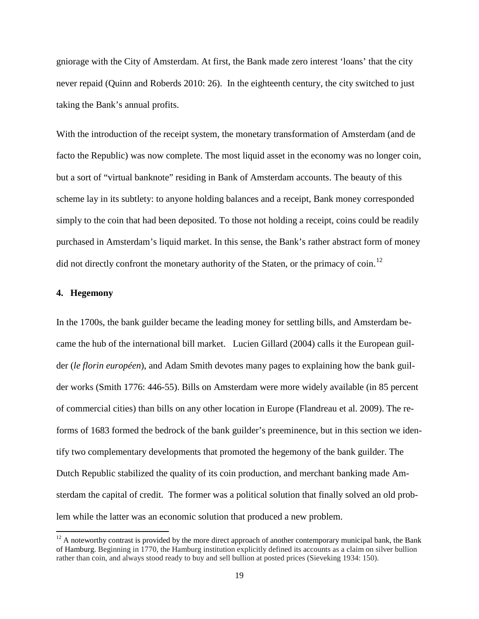gniorage with the City of Amsterdam. At first, the Bank made zero interest 'loans' that the city never repaid (Quinn and Roberds 2010: 26). In the eighteenth century, the city switched to just taking the Bank's annual profits.

With the introduction of the receipt system, the monetary transformation of Amsterdam (and de facto the Republic) was now complete. The most liquid asset in the economy was no longer coin, but a sort of "virtual banknote" residing in Bank of Amsterdam accounts. The beauty of this scheme lay in its subtlety: to anyone holding balances and a receipt, Bank money corresponded simply to the coin that had been deposited. To those not holding a receipt, coins could be readily purchased in Amsterdam's liquid market. In this sense, the Bank's rather abstract form of money did not directly confront the monetary authority of the Staten, or the primacy of coin.<sup>[12](#page-17-0)</sup>

## **4. Hegemony**

In the 1700s, the bank guilder became the leading money for settling bills, and Amsterdam became the hub of the international bill market. Lucien Gillard (2004) calls it the European guilder (*le florin européen*), and Adam Smith devotes many pages to explaining how the bank guilder works (Smith 1776: 446-55). Bills on Amsterdam were more widely available (in 85 percent of commercial cities) than bills on any other location in Europe (Flandreau et al. 2009). The reforms of 1683 formed the bedrock of the bank guilder's preeminence, but in this section we identify two complementary developments that promoted the hegemony of the bank guilder. The Dutch Republic stabilized the quality of its coin production, and merchant banking made Amsterdam the capital of credit. The former was a political solution that finally solved an old problem while the latter was an economic solution that produced a new problem.

<span id="page-19-0"></span> $12$  A noteworthy contrast is provided by the more direct approach of another contemporary municipal bank, the Bank of Hamburg. Beginning in 1770, the Hamburg institution explicitly defined its accounts as a claim on silver bullion rather than coin, and always stood ready to buy and sell bullion at posted prices (Sieveking 1934: 150).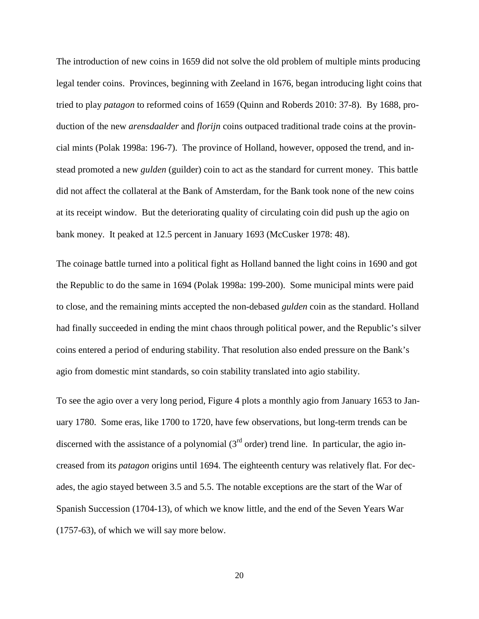The introduction of new coins in 1659 did not solve the old problem of multiple mints producing legal tender coins. Provinces, beginning with Zeeland in 1676, began introducing light coins that tried to play *patagon* to reformed coins of 1659 (Quinn and Roberds 2010: 37-8). By 1688, production of the new *arensdaalder* and *florijn* coins outpaced traditional trade coins at the provincial mints (Polak 1998a: 196-7). The province of Holland, however, opposed the trend, and instead promoted a new *gulden* (guilder) coin to act as the standard for current money. This battle did not affect the collateral at the Bank of Amsterdam, for the Bank took none of the new coins at its receipt window. But the deteriorating quality of circulating coin did push up the agio on bank money. It peaked at 12.5 percent in January 1693 (McCusker 1978: 48).

The coinage battle turned into a political fight as Holland banned the light coins in 1690 and got the Republic to do the same in 1694 (Polak 1998a: 199-200). Some municipal mints were paid to close, and the remaining mints accepted the non-debased *gulden* coin as the standard. Holland had finally succeeded in ending the mint chaos through political power, and the Republic's silver coins entered a period of enduring stability. That resolution also ended pressure on the Bank's agio from domestic mint standards, so coin stability translated into agio stability.

To see the agio over a very long period, Figure 4 plots a monthly agio from January 1653 to January 1780. Some eras, like 1700 to 1720, have few observations, but long-term trends can be discerned with the assistance of a polynomial  $3<sup>rd</sup>$  order) trend line. In particular, the agio increased from its *patagon* origins until 1694. The eighteenth century was relatively flat. For decades, the agio stayed between 3.5 and 5.5. The notable exceptions are the start of the War of Spanish Succession (1704-13), of which we know little, and the end of the Seven Years War (1757-63), of which we will say more below.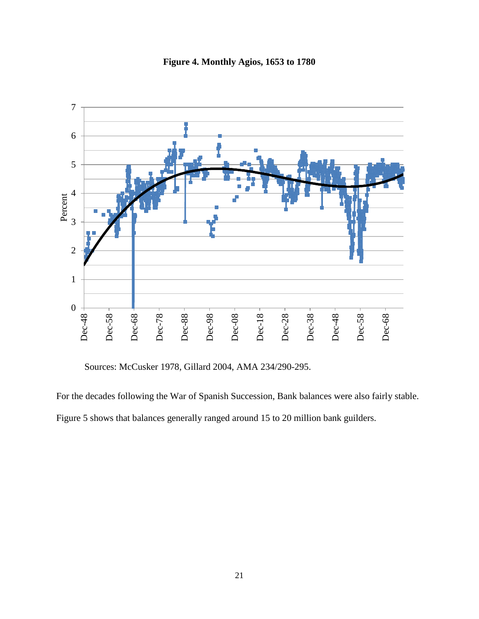

**Figure 4. Monthly Agios, 1653 to 1780**

Sources: McCusker 1978, Gillard 2004, AMA 234/290-295.

For the decades following the War of Spanish Succession, Bank balances were also fairly stable. Figure 5 shows that balances generally ranged around 15 to 20 million bank guilders.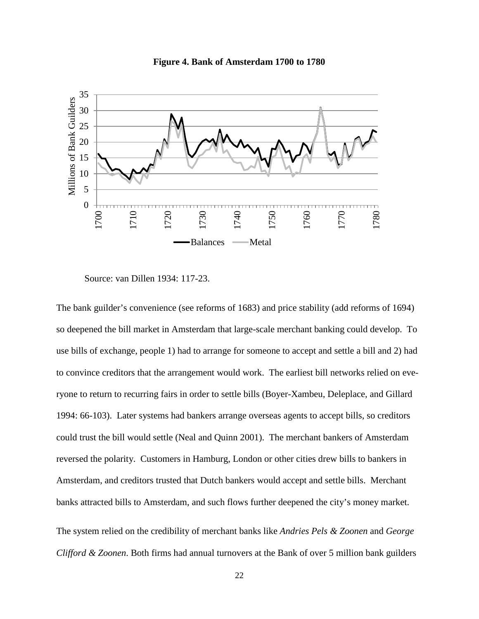

**Figure 4. Bank of Amsterdam 1700 to 1780**

The bank guilder's convenience (see reforms of 1683) and price stability (add reforms of 1694) so deepened the bill market in Amsterdam that large-scale merchant banking could develop. To use bills of exchange, people 1) had to arrange for someone to accept and settle a bill and 2) had to convince creditors that the arrangement would work. The earliest bill networks relied on everyone to return to recurring fairs in order to settle bills (Boyer-Xambeu, Deleplace, and Gillard 1994: 66-103). Later systems had bankers arrange overseas agents to accept bills, so creditors could trust the bill would settle (Neal and Quinn 2001). The merchant bankers of Amsterdam reversed the polarity. Customers in Hamburg, London or other cities drew bills to bankers in Amsterdam, and creditors trusted that Dutch bankers would accept and settle bills. Merchant banks attracted bills to Amsterdam, and such flows further deepened the city's money market.

The system relied on the credibility of merchant banks like *Andries Pels & Zoonen* and *George Clifford & Zoonen*. Both firms had annual turnovers at the Bank of over 5 million bank guilders

Source: van Dillen 1934: 117-23.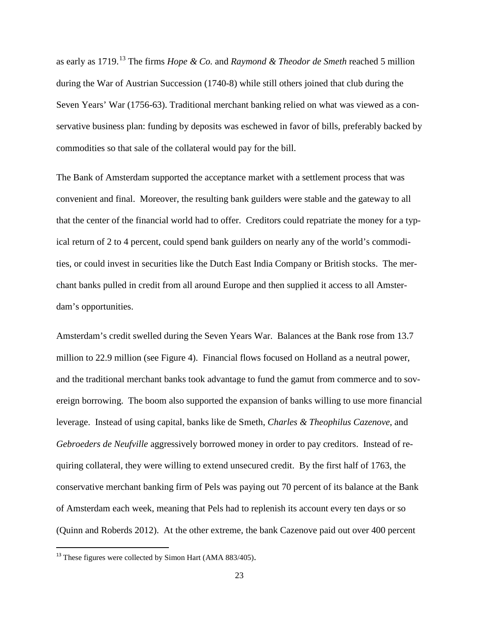as early as 1719.[13](#page-19-0) The firms *Hope & Co.* and *Raymond & Theodor de Smeth* reached 5 million during the War of Austrian Succession (1740-8) while still others joined that club during the Seven Years' War (1756-63). Traditional merchant banking relied on what was viewed as a conservative business plan: funding by deposits was eschewed in favor of bills, preferably backed by commodities so that sale of the collateral would pay for the bill.

The Bank of Amsterdam supported the acceptance market with a settlement process that was convenient and final. Moreover, the resulting bank guilders were stable and the gateway to all that the center of the financial world had to offer. Creditors could repatriate the money for a typical return of 2 to 4 percent, could spend bank guilders on nearly any of the world's commodities, or could invest in securities like the Dutch East India Company or British stocks. The merchant banks pulled in credit from all around Europe and then supplied it access to all Amsterdam's opportunities.

Amsterdam's credit swelled during the Seven Years War. Balances at the Bank rose from 13.7 million to 22.9 million (see Figure 4). Financial flows focused on Holland as a neutral power, and the traditional merchant banks took advantage to fund the gamut from commerce and to sovereign borrowing. The boom also supported the expansion of banks willing to use more financial leverage. Instead of using capital, banks like de Smeth, *Charles & Theophilus Cazenove*, and *Gebroeders de Neufville* aggressively borrowed money in order to pay creditors. Instead of requiring collateral, they were willing to extend unsecured credit. By the first half of 1763, the conservative merchant banking firm of Pels was paying out 70 percent of its balance at the Bank of Amsterdam each week, meaning that Pels had to replenish its account every ten days or so (Quinn and Roberds 2012). At the other extreme, the bank Cazenove paid out over 400 percent

<sup>&</sup>lt;sup>13</sup> These figures were collected by Simon Hart (AMA 883/405).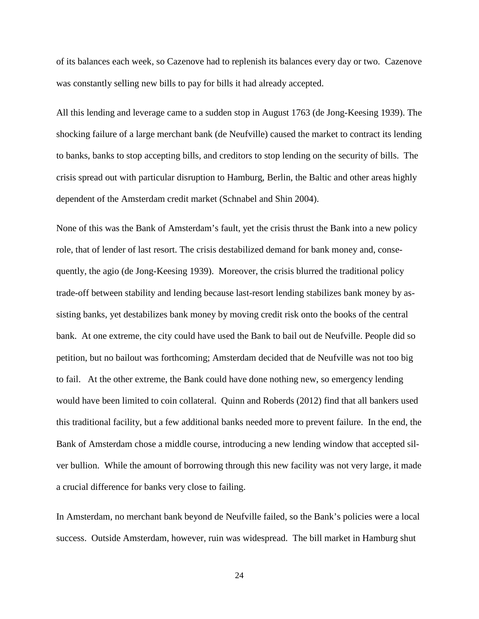of its balances each week, so Cazenove had to replenish its balances every day or two. Cazenove was constantly selling new bills to pay for bills it had already accepted.

All this lending and leverage came to a sudden stop in August 1763 (de Jong-Keesing 1939). The shocking failure of a large merchant bank (de Neufville) caused the market to contract its lending to banks, banks to stop accepting bills, and creditors to stop lending on the security of bills. The crisis spread out with particular disruption to Hamburg, Berlin, the Baltic and other areas highly dependent of the Amsterdam credit market (Schnabel and Shin 2004).

None of this was the Bank of Amsterdam's fault, yet the crisis thrust the Bank into a new policy role, that of lender of last resort. The crisis destabilized demand for bank money and, consequently, the agio (de Jong-Keesing 1939). Moreover, the crisis blurred the traditional policy trade-off between stability and lending because last-resort lending stabilizes bank money by assisting banks, yet destabilizes bank money by moving credit risk onto the books of the central bank. At one extreme, the city could have used the Bank to bail out de Neufville. People did so petition, but no bailout was forthcoming; Amsterdam decided that de Neufville was not too big to fail. At the other extreme, the Bank could have done nothing new, so emergency lending would have been limited to coin collateral. Quinn and Roberds (2012) find that all bankers used this traditional facility, but a few additional banks needed more to prevent failure. In the end, the Bank of Amsterdam chose a middle course, introducing a new lending window that accepted silver bullion. While the amount of borrowing through this new facility was not very large, it made a crucial difference for banks very close to failing.

In Amsterdam, no merchant bank beyond de Neufville failed, so the Bank's policies were a local success. Outside Amsterdam, however, ruin was widespread. The bill market in Hamburg shut

24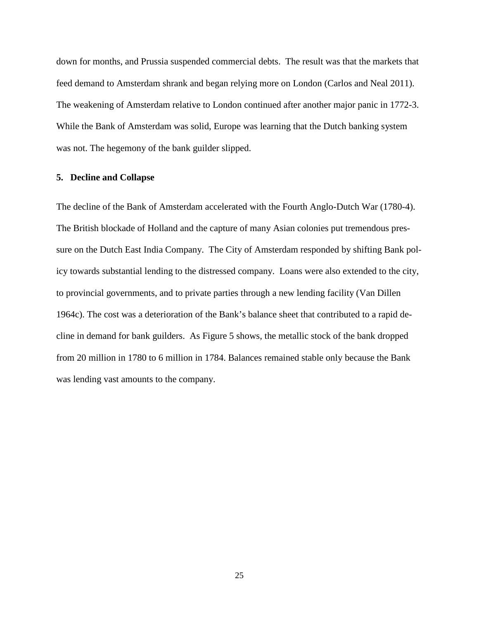down for months, and Prussia suspended commercial debts. The result was that the markets that feed demand to Amsterdam shrank and began relying more on London (Carlos and Neal 2011). The weakening of Amsterdam relative to London continued after another major panic in 1772-3. While the Bank of Amsterdam was solid, Europe was learning that the Dutch banking system was not. The hegemony of the bank guilder slipped.

#### **5. Decline and Collapse**

The decline of the Bank of Amsterdam accelerated with the Fourth Anglo-Dutch War (1780-4). The British blockade of Holland and the capture of many Asian colonies put tremendous pressure on the Dutch East India Company. The City of Amsterdam responded by shifting Bank policy towards substantial lending to the distressed company. Loans were also extended to the city, to provincial governments, and to private parties through a new lending facility (Van Dillen 1964c). The cost was a deterioration of the Bank's balance sheet that contributed to a rapid decline in demand for bank guilders. As Figure 5 shows, the metallic stock of the bank dropped from 20 million in 1780 to 6 million in 1784. Balances remained stable only because the Bank was lending vast amounts to the company.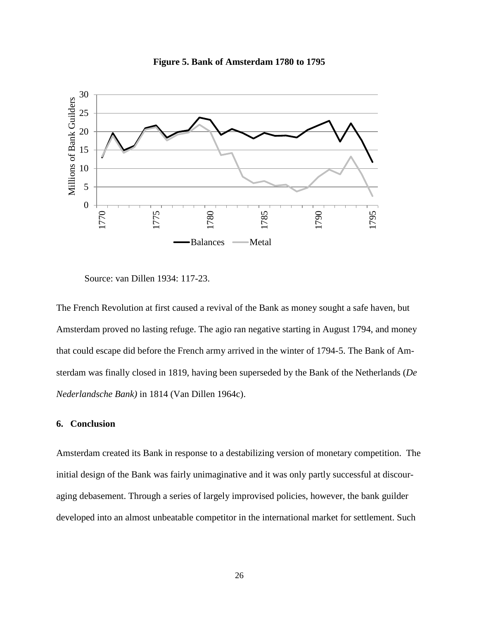

**Figure 5. Bank of Amsterdam 1780 to 1795**

Source: van Dillen 1934: 117-23.

The French Revolution at first caused a revival of the Bank as money sought a safe haven, but Amsterdam proved no lasting refuge. The agio ran negative starting in August 1794, and money that could escape did before the French army arrived in the winter of 1794-5. The Bank of Amsterdam was finally closed in 1819, having been superseded by the Bank of the Netherlands (*De Nederlandsche Bank)* in 1814 (Van Dillen 1964c).

# **6. Conclusion**

Amsterdam created its Bank in response to a destabilizing version of monetary competition. The initial design of the Bank was fairly unimaginative and it was only partly successful at discouraging debasement. Through a series of largely improvised policies, however, the bank guilder developed into an almost unbeatable competitor in the international market for settlement. Such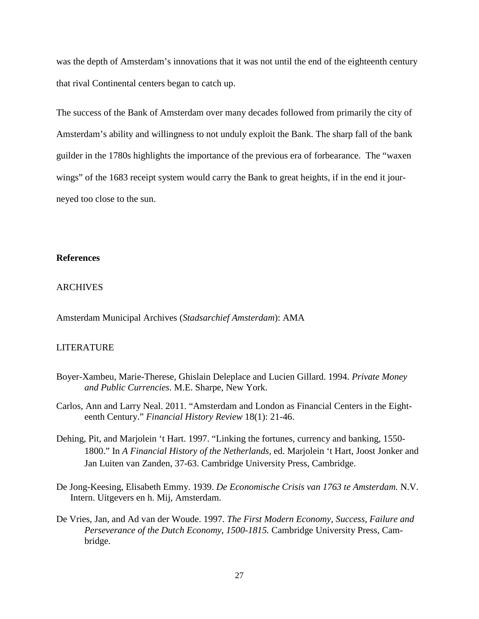was the depth of Amsterdam's innovations that it was not until the end of the eighteenth century that rival Continental centers began to catch up.

The success of the Bank of Amsterdam over many decades followed from primarily the city of Amsterdam's ability and willingness to not unduly exploit the Bank. The sharp fall of the bank guilder in the 1780s highlights the importance of the previous era of forbearance. The "waxen wings" of the 1683 receipt system would carry the Bank to great heights, if in the end it journeyed too close to the sun.

# **References**

#### ARCHIVES

Amsterdam Municipal Archives (*Stadsarchief Amsterdam*): AMA

# LITERATURE

- Boyer-Xambeu, Marie-Therese, Ghislain Deleplace and Lucien Gillard. 1994. *Private Money and Public Currencies*. M.E. Sharpe, New York.
- Carlos, Ann and Larry Neal. 2011. "Amsterdam and London as Financial Centers in the Eighteenth Century." *Financial History Review* 18(1): 21-46.
- Dehing, Pit, and Marjolein 't Hart. 1997. "Linking the fortunes, currency and banking, 1550- 1800." In *A Financial History of the Netherlands,* ed. Marjolein 't Hart, Joost Jonker and Jan Luiten van Zanden, 37-63. Cambridge University Press, Cambridge.
- De Jong-Keesing, Elisabeth Emmy. 1939. *De Economische Crisis van 1763 te Amsterdam.* N.V. Intern. Uitgevers en h. Mij, Amsterdam.
- De Vries, Jan, and Ad van der Woude. 1997. *The First Modern Economy, Success, Failure and Perseverance of the Dutch Economy, 1500-1815.* Cambridge University Press, Cambridge.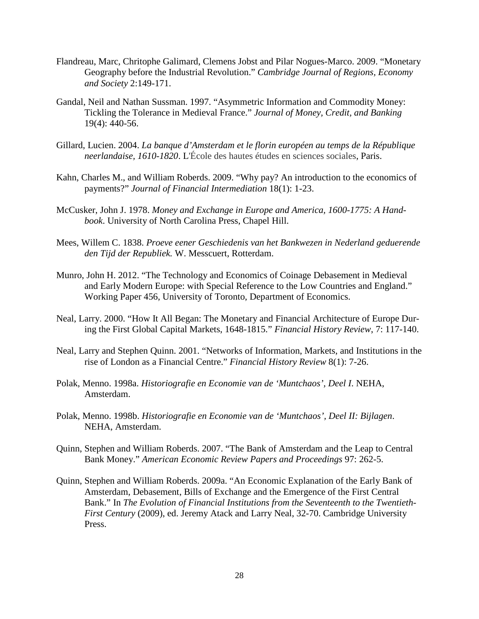- Flandreau, Marc, Chritophe Galimard, Clemens Jobst and Pilar Nogues-Marco. 2009. "Monetary Geography before the Industrial Revolution." *Cambridge Journal of Regions, Economy and Society* 2:149-171.
- Gandal, Neil and Nathan Sussman. 1997. "Asymmetric Information and Commodity Money: Tickling the Tolerance in Medieval France." *Journal of Money, Credit, and Banking*  19(4): 440-56.
- Gillard, Lucien. 2004. *La banque d'Amsterdam et le florin européen au temps de la République neerlandaise, 1610-1820*. L'École des hautes études en sciences sociales, Paris.
- Kahn, Charles M., and William Roberds. 2009. "Why pay? An introduction to the economics of payments?" *Journal of Financial Intermediation* 18(1): 1-23.
- McCusker, John J. 1978. *Money and Exchange in Europe and America, 1600-1775: A Handbook*. University of North Carolina Press, Chapel Hill.
- Mees, Willem C. 1838. *Proeve eener Geschiedenis van het Bankwezen in Nederland geduerende den Tijd der Republiek.* W. Messcuert, Rotterdam.
- Munro, John H. 2012. "The Technology and Economics of Coinage Debasement in Medieval and Early Modern Europe: with Special Reference to the Low Countries and England." Working Paper 456, University of Toronto, Department of Economics.
- Neal, Larry. 2000. "How It All Began: The Monetary and Financial Architecture of Europe During the First Global Capital Markets, 1648-1815." *Financial History Review*, 7: 117-140.
- Neal, Larry and Stephen Quinn. 2001. "Networks of Information, Markets, and Institutions in the rise of London as a Financial Centre." *Financial History Review* 8(1): 7-26.
- Polak, Menno. 1998a. *Historiografie en Economie van de 'Muntchaos', Deel I*. NEHA, Amsterdam.
- Polak, Menno. 1998b. *Historiografie en Economie van de 'Muntchaos', Deel II: Bijlagen*. NEHA, Amsterdam.
- Quinn, Stephen and William Roberds. 2007. "The Bank of Amsterdam and the Leap to Central Bank Money." *American Economic Review Papers and Proceedings* 97: 262-5.
- Quinn, Stephen and William Roberds. 2009a. "An Economic Explanation of the Early Bank of Amsterdam, Debasement, Bills of Exchange and the Emergence of the First Central Bank." In *The Evolution of Financial Institutions from the Seventeenth to the Twentieth-First Century* (2009), ed. Jeremy Atack and Larry Neal, 32-70. Cambridge University Press.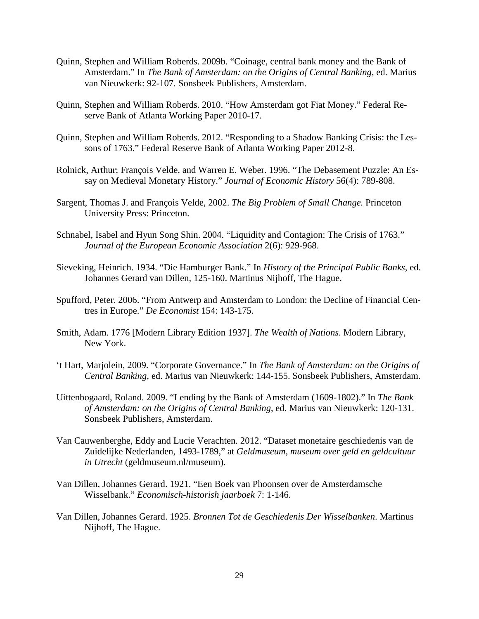- Quinn, Stephen and William Roberds. 2009b. "Coinage, central bank money and the Bank of Amsterdam." In *The Bank of Amsterdam: on the Origins of Central Banking*, ed. Marius van Nieuwkerk: 92-107. Sonsbeek Publishers, Amsterdam.
- Quinn, Stephen and William Roberds. 2010. "How Amsterdam got Fiat Money." Federal Reserve Bank of Atlanta Working Paper 2010-17.
- Quinn, Stephen and William Roberds. 2012. "Responding to a Shadow Banking Crisis: the Lessons of 1763." Federal Reserve Bank of Atlanta Working Paper 2012-8.
- Rolnick, Arthur; François Velde, and Warren E. Weber. 1996. "The Debasement Puzzle: An Essay on Medieval Monetary History." *Journal of Economic History* 56(4): 789-808.
- Sargent, Thomas J. and François Velde, 2002. *The Big Problem of Small Change.* Princeton University Press: Princeton.
- Schnabel, Isabel and Hyun Song Shin. 2004. "Liquidity and Contagion: The Crisis of 1763." *Journal of the European Economic Association* 2(6): 929-968.
- Sieveking, Heinrich. 1934. "Die Hamburger Bank." In *History of the Principal Public Banks*, ed. Johannes Gerard van Dillen, 125-160. Martinus Nijhoff, The Hague.
- Spufford, Peter. 2006. "From Antwerp and Amsterdam to London: the Decline of Financial Centres in Europe." *De Economist* 154: 143-175.
- Smith, Adam. 1776 [Modern Library Edition 1937]. *The Wealth of Nations*. Modern Library, New York.
- 't Hart, Marjolein, 2009. "Corporate Governance." In *The Bank of Amsterdam: on the Origins of Central Banking*, ed. Marius van Nieuwkerk: 144-155. Sonsbeek Publishers, Amsterdam.
- Uittenbogaard, Roland. 2009. "Lending by the Bank of Amsterdam (1609-1802)." In *The Bank of Amsterdam: on the Origins of Central Banking*, ed. Marius van Nieuwkerk: 120-131. Sonsbeek Publishers, Amsterdam.
- Van Cauwenberghe, Eddy and Lucie Verachten. 2012. "Dataset monetaire geschiedenis van de Zuidelijke Nederlanden, 1493-1789," at *Geldmuseum, museum over geld en geldcultuur in Utrecht* (geldmuseum.nl/museum).
- Van Dillen, Johannes Gerard. 1921. "Een Boek van Phoonsen over de Amsterdamsche Wisselbank." *Economisch-historish jaarboek* 7: 1-146.
- Van Dillen, Johannes Gerard. 1925. *Bronnen Tot de Geschiedenis Der Wisselbanken*. Martinus Nijhoff, The Hague.